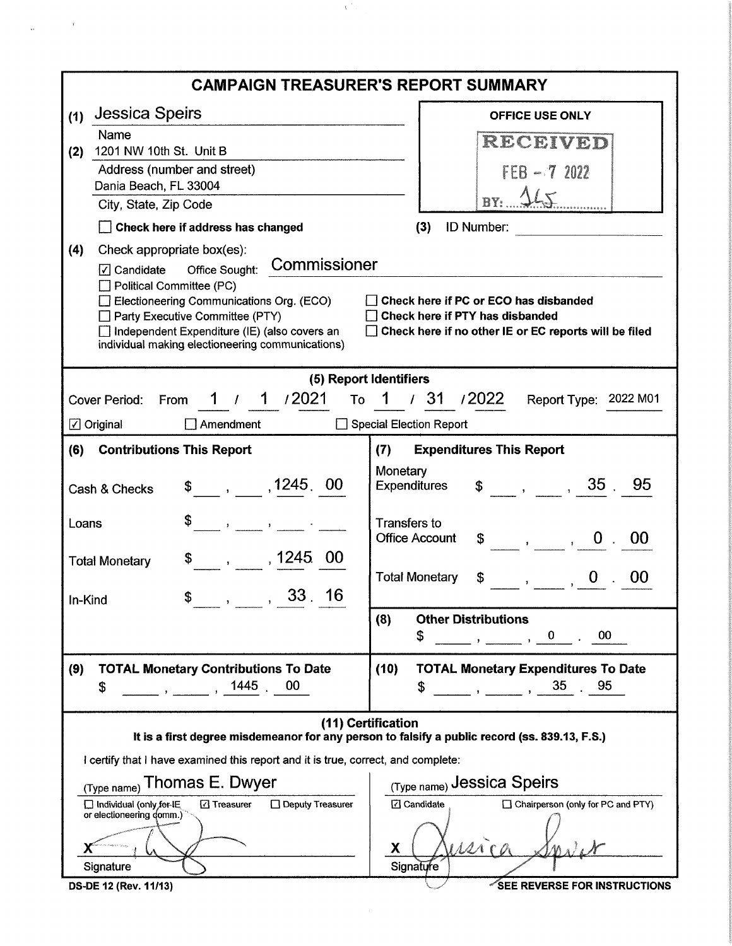| <b>CAMPAIGN TREASURER'S REPORT SUMMARY</b>                                                                    |                                                                                                        |  |  |  |
|---------------------------------------------------------------------------------------------------------------|--------------------------------------------------------------------------------------------------------|--|--|--|
| <b>Jessica Speirs</b><br>(1)                                                                                  | <b>OFFICE USE ONLY</b>                                                                                 |  |  |  |
| Name                                                                                                          | RECEIVED                                                                                               |  |  |  |
| 1201 NW 10th St. Unit B<br>(2)<br>Address (number and street)                                                 |                                                                                                        |  |  |  |
| Dania Beach, FL 33004                                                                                         | $FEB - 72022$                                                                                          |  |  |  |
| City, State, Zip Code                                                                                         | BY: 165                                                                                                |  |  |  |
| Check here if address has changed                                                                             | (3)<br><b>ID Number:</b>                                                                               |  |  |  |
| (4)<br>Check appropriate box(es):                                                                             |                                                                                                        |  |  |  |
| Commissioner<br>Office Sought:<br>$\sqrt{2}$ Candidate                                                        |                                                                                                        |  |  |  |
| Political Committee (PC)<br>Electioneering Communications Org. (ECO)                                          | Check here if PC or ECO has disbanded                                                                  |  |  |  |
| Party Executive Committee (PTY)                                                                               | Check here if PTY has disbanded                                                                        |  |  |  |
| Independent Expenditure (IE) (also covers an                                                                  | Check here if no other IE or EC reports will be filed                                                  |  |  |  |
| individual making electioneering communications)                                                              |                                                                                                        |  |  |  |
|                                                                                                               | (5) Report Identifiers                                                                                 |  |  |  |
| 1 / 1 /2021<br><b>Cover Period:</b><br>From                                                                   | To 1 / 31 / 2022<br>Report Type: 2022 M01                                                              |  |  |  |
| $\boxed{\angle}$ Original<br>$\Box$ Amendment                                                                 | Special Election Report                                                                                |  |  |  |
| (6)<br><b>Contributions This Report</b>                                                                       | (7)<br><b>Expenditures This Report</b>                                                                 |  |  |  |
|                                                                                                               | Monetary                                                                                               |  |  |  |
| $\frac{1245}{1245}$ , 1245, 00<br>Cash & Checks                                                               | $\frac{1}{2}$ , , 35<br>95<br><b>Expenditures</b>                                                      |  |  |  |
| Loans<br>$\mathcal{L}(\mathcal{A})$ and $\mathcal{A}(\mathcal{A})$ . In the set of $\mathcal{A}(\mathcal{A})$ | <b>Transfers to</b>                                                                                    |  |  |  |
|                                                                                                               | <b>Office Account</b><br>00                                                                            |  |  |  |
| $, \qquad$ , 1245.00<br><b>Total Monetary</b>                                                                 |                                                                                                        |  |  |  |
|                                                                                                               | <b>Total Monetary</b><br>\$<br>$\overline{a}$ , $\overline{a}$ , $\overline{a}$ , $\overline{a}$<br>00 |  |  |  |
| 33 <sup>16</sup><br>S<br>In-Kind<br>$\mathbf{r}$<br>$\pmb{\gamma}$                                            |                                                                                                        |  |  |  |
|                                                                                                               | (8)<br><b>Other Distributions</b><br>$00\,$<br>$\mathbf{0}$                                            |  |  |  |
|                                                                                                               | \$                                                                                                     |  |  |  |
| (9)<br><b>TOTAL Monetary Contributions To Date</b>                                                            | <b>TOTAL Monetary Expenditures To Date</b><br>(10)                                                     |  |  |  |
| , 1445<br>00<br>\$<br>$\mathcal{L} = \mathcal{L}$                                                             | 35<br>.95<br>\$<br>$\mathbf{r}$ and $\mathbf{r}$                                                       |  |  |  |
|                                                                                                               | (11) Certification                                                                                     |  |  |  |
|                                                                                                               | It is a first degree misdemeanor for any person to falsify a public record (ss. 839.13, F.S.)          |  |  |  |
| I certify that I have examined this report and it is true, correct, and complete:                             |                                                                                                        |  |  |  |
| Thomas E. Dwyer<br>(Type name) Jessica Speirs<br>(Type name)                                                  |                                                                                                        |  |  |  |
| Deputy Treasurer<br>Individual (only for IE<br><b>⊡</b> Treasurer<br>or electioneering domm.)                 | □ Chairperson (only for PC and PTY)<br><b>⊡</b> Candidate                                              |  |  |  |
|                                                                                                               |                                                                                                        |  |  |  |
| an international space and space<br>Х                                                                         |                                                                                                        |  |  |  |
| Signature                                                                                                     | Signature                                                                                              |  |  |  |
| DS-DE 12 (Rev. 11/13)                                                                                         | SEE REVERSE FOR INSTRUCTIONS                                                                           |  |  |  |

 $\sim C_{\rm eff}$ 

 $\epsilon$ 

 $\hat{\Omega}$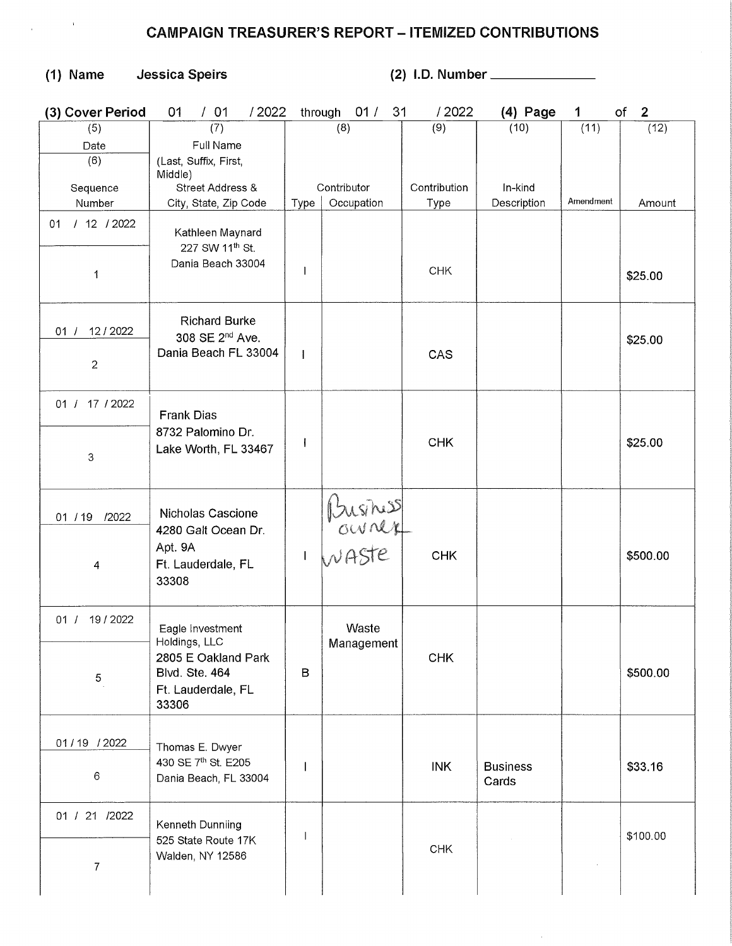## CAMPAIGN TREASURER'S REPORT - ITEMIZED CONTRIBUTIONS

(1) Name Jessica Speirs (2) I.D. Number \_\_\_\_\_\_\_\_\_\_\_\_\_

| (3) Cover Period                | /01<br>/2022<br>01                                                                                        | through      | 01/<br>31           | /2022        | $(4)$ Page               | 1         | оf<br>$\mathbf{2}$ |
|---------------------------------|-----------------------------------------------------------------------------------------------------------|--------------|---------------------|--------------|--------------------------|-----------|--------------------|
| (5)                             | (7)                                                                                                       |              | (8)                 | (9)          | (10)                     | (11)      | (12)               |
| Date                            | Full Name                                                                                                 |              |                     |              |                          |           |                    |
| (6)                             | (Last, Suffix, First,                                                                                     |              |                     |              |                          |           |                    |
|                                 | Middle)                                                                                                   |              |                     |              |                          |           |                    |
| Sequence                        | Street Address &                                                                                          |              | Contributor         | Contribution | In-kind                  |           |                    |
| Number                          | City, State, Zip Code                                                                                     | Type         | Occupation          | Type         | Description              | Amendment | Amount             |
| /12/2022<br>01                  | Kathleen Maynard                                                                                          |              |                     |              |                          |           |                    |
| 1                               | 227 SW 11 <sup>th</sup> St.<br>Dania Beach 33004                                                          | $\mathbf{I}$ |                     | CHK          |                          |           | \$25.00            |
| 12/2022<br>01 /                 | <b>Richard Burke</b><br>308 SE 2 <sup>nd</sup> Ave.                                                       |              |                     |              |                          |           | \$25.00            |
| $\overline{c}$                  | Dania Beach FL 33004                                                                                      | $\mathbf{I}$ |                     | CAS          |                          |           |                    |
| 01 / 17 / 2022                  | <b>Frank Dias</b>                                                                                         |              |                     |              |                          |           |                    |
| 3                               | 8732 Palomino Dr.<br>Lake Worth, FL 33467                                                                 |              |                     | <b>CHK</b>   |                          |           | \$25.00            |
| 01 / 19<br>/2022<br>4           | Nicholas Cascione<br>4280 Galt Ocean Dr.<br>Apt. 9A<br>Ft. Lauderdale, FL                                 | $\mathbf{I}$ | Businisse<br>WASte  | <b>CHK</b>   |                          |           | \$500.00           |
|                                 | 33308                                                                                                     |              |                     |              |                          |           |                    |
| 19 / 2022<br>01 /<br>$\sqrt{5}$ | Eagle Investment<br>Holdings, LLC<br>2805 E Oakland Park<br>Blvd. Ste. 464<br>Ft. Lauderdale, FL<br>33306 | B            | Waste<br>Management | <b>CHK</b>   |                          |           | \$500.00           |
| 01/19 / 2022<br>6               | Thomas E. Dwyer<br>430 SE 7th St. E205<br>Dania Beach, FL 33004                                           |              |                     | <b>INK</b>   | <b>Business</b><br>Cards |           | \$33.16            |
| 01 / 21 / 2022<br>7             | Kenneth Dunniing<br>525 State Route 17K<br>Walden, NY 12586                                               | $\mathbf{I}$ |                     | <b>CHK</b>   |                          |           | \$100.00           |

 $\hat{\boldsymbol{\theta}}$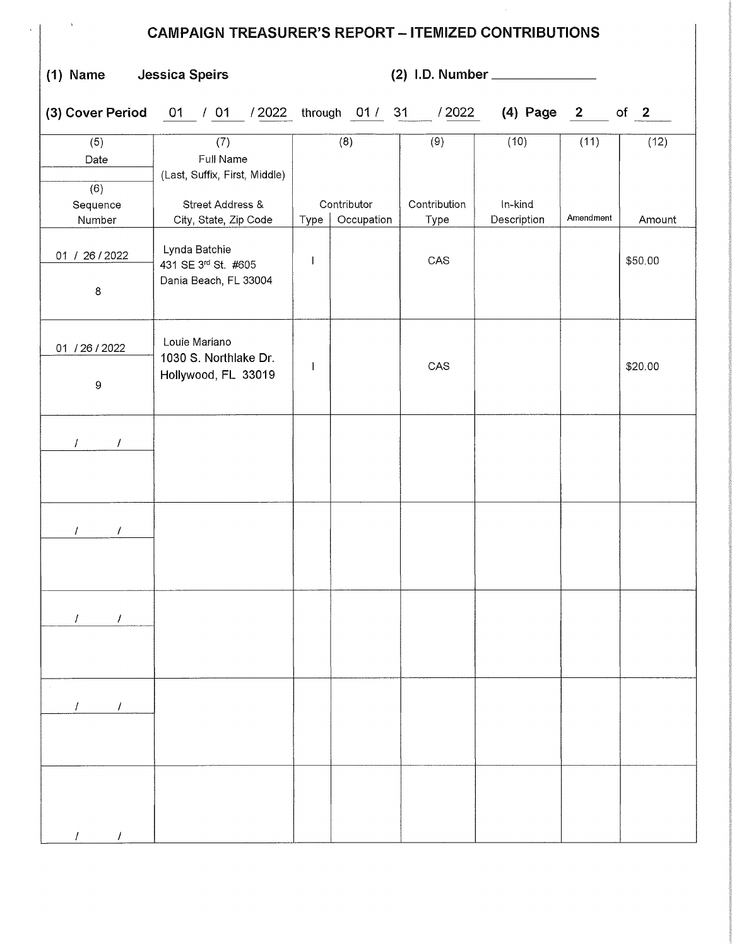| $\Lambda$<br><b>CAMPAIGN TREASURER'S REPORT - ITEMIZED CONTRIBUTIONS</b> |                                                                       |              |                    |                     |                   |           |         |
|--------------------------------------------------------------------------|-----------------------------------------------------------------------|--------------|--------------------|---------------------|-------------------|-----------|---------|
| $(1)$ Name                                                               | Jessica Speirs                                                        |              |                    |                     |                   |           |         |
|                                                                          | (3) Cover Period 01 / 01 / 2022 through 01 / 31 / 2022                |              |                    |                     | $(4)$ Page 2 of 2 |           |         |
| (5)<br>Date<br>(6)<br>Sequence                                           | (7)<br>Full Name<br>(Last, Suffix, First, Middle)<br>Street Address & |              | (8)<br>Contributor | (9)<br>Contribution | (10)<br>In-kind   | (11)      | (12)    |
| Number                                                                   | City, State, Zip Code                                                 | Type         | Occupation         | Type                | Description       | Amendment | Amount  |
| 01 / 26 / 2022<br>8                                                      | Lynda Batchie<br>431 SE 3rd St. #605<br>Dania Beach, FL 33004         | $\mathbf{I}$ |                    | CAS                 |                   |           | \$50.00 |
| 01 / 26 / 2022<br>$\boldsymbol{9}$                                       | Louie Mariano<br>1030 S. Northlake Dr.<br>Hollywood, FL 33019         |              |                    | CAS                 |                   |           | \$20.00 |
| $I = -I$                                                                 |                                                                       |              |                    |                     |                   |           |         |
| $\mathcal{L}$<br>$\prime$                                                |                                                                       |              |                    |                     |                   |           |         |
| $\mathcal{L}$<br>$\prime$                                                |                                                                       |              |                    |                     |                   |           |         |
| $\mathcal{L}$<br>$\prime$                                                |                                                                       |              |                    |                     |                   |           |         |
|                                                                          |                                                                       |              |                    |                     |                   |           |         |

/ /